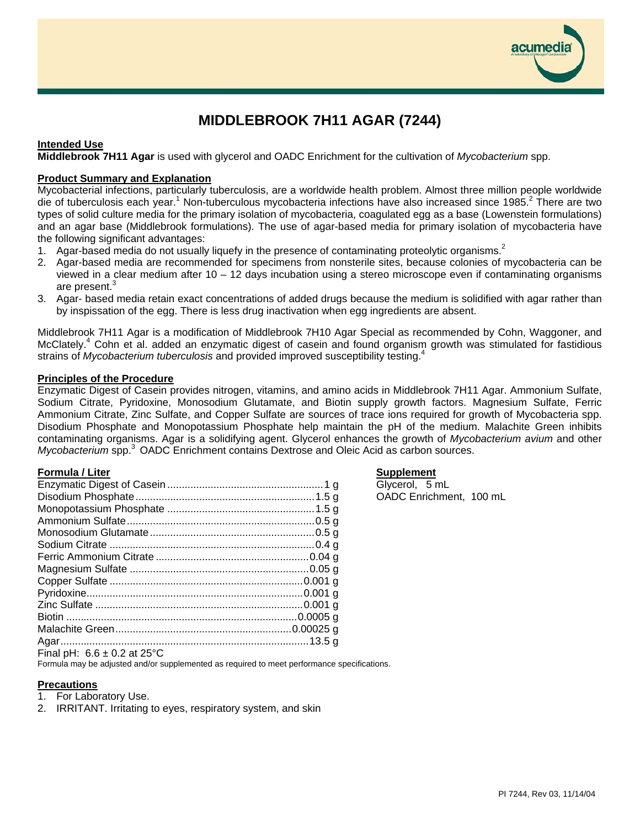

# **MIDDLEBROOK 7H11 AGAR (7244)**

## **Intended Use**

**Middlebrook 7H11 Agar** is used with glycerol and OADC Enrichment for the cultivation of *Mycobacterium* spp.

# **Product Summary and Explanation**

Mycobacterial infections, particularly tuberculosis, are a worldwide health problem. Almost three million people worldwide die of tuberculosis each year.<sup>1</sup> Non-tuberculous mycobacteria infections have also increased since 1985.<sup>2</sup> There are two types of solid culture media for the primary isolation of mycobacteria, coagulated egg as a base (Lowenstein formulations) and an agar base (Middlebrook formulations). The use of agar-based media for primary isolation of mycobacteria have the following significant advantages:

- 1. Agar-based media do not usually liquefy in the presence of contaminating proteolytic organisms.<sup>2</sup>
- 2. Agar-based media are recommended for specimens from nonsterile sites, because colonies of mycobacteria can be viewed in a clear medium after 10 – 12 days incubation using a stereo microscope even if contaminating organisms are present.<sup>3</sup>
- 3. Agar- based media retain exact concentrations of added drugs because the medium is solidified with agar rather than by inspissation of the egg. There is less drug inactivation when egg ingredients are absent.

Middlebrook 7H11 Agar is a modification of Middlebrook 7H10 Agar Special as recommended by Cohn, Waggoner, and McClately.<sup>4</sup> Cohn et al. added an enzymatic digest of casein and found organism growth was stimulated for fastidious strains of *Mycobacterium tuberculosis* and provided improved susceptibility testing.<sup>4</sup>

### **Principles of the Procedure**

Enzymatic Digest of Casein provides nitrogen, vitamins, and amino acids in Middlebrook 7H11 Agar. Ammonium Sulfate, Sodium Citrate, Pyridoxine, Monosodium Glutamate, and Biotin supply growth factors. Magnesium Sulfate, Ferric Ammonium Citrate, Zinc Sulfate, and Copper Sulfate are sources of trace ions required for growth of Mycobacteria spp. Disodium Phosphate and Monopotassium Phosphate help maintain the pH of the medium. Malachite Green inhibits contaminating organisms. Agar is a solidifying agent. Glycerol enhances the growth of *Mycobacterium avium* and other *Mycobacterium* spp.3 OADC Enrichment contains Dextrose and Oleic Acid as carbon sources.

### **Formula / Liter Supplement**

| Final pH: $6.6 \pm 0.2$ at 25°C |  |
|---------------------------------|--|

Formula may be adjusted and/or supplemented as required to meet performance specifications.

### **Precautions**

- 1. For Laboratory Use.
- 2. IRRITANT. Irritating to eyes, respiratory system, and skin

Glycerol, 5 mL OADC Enrichment, 100 mL